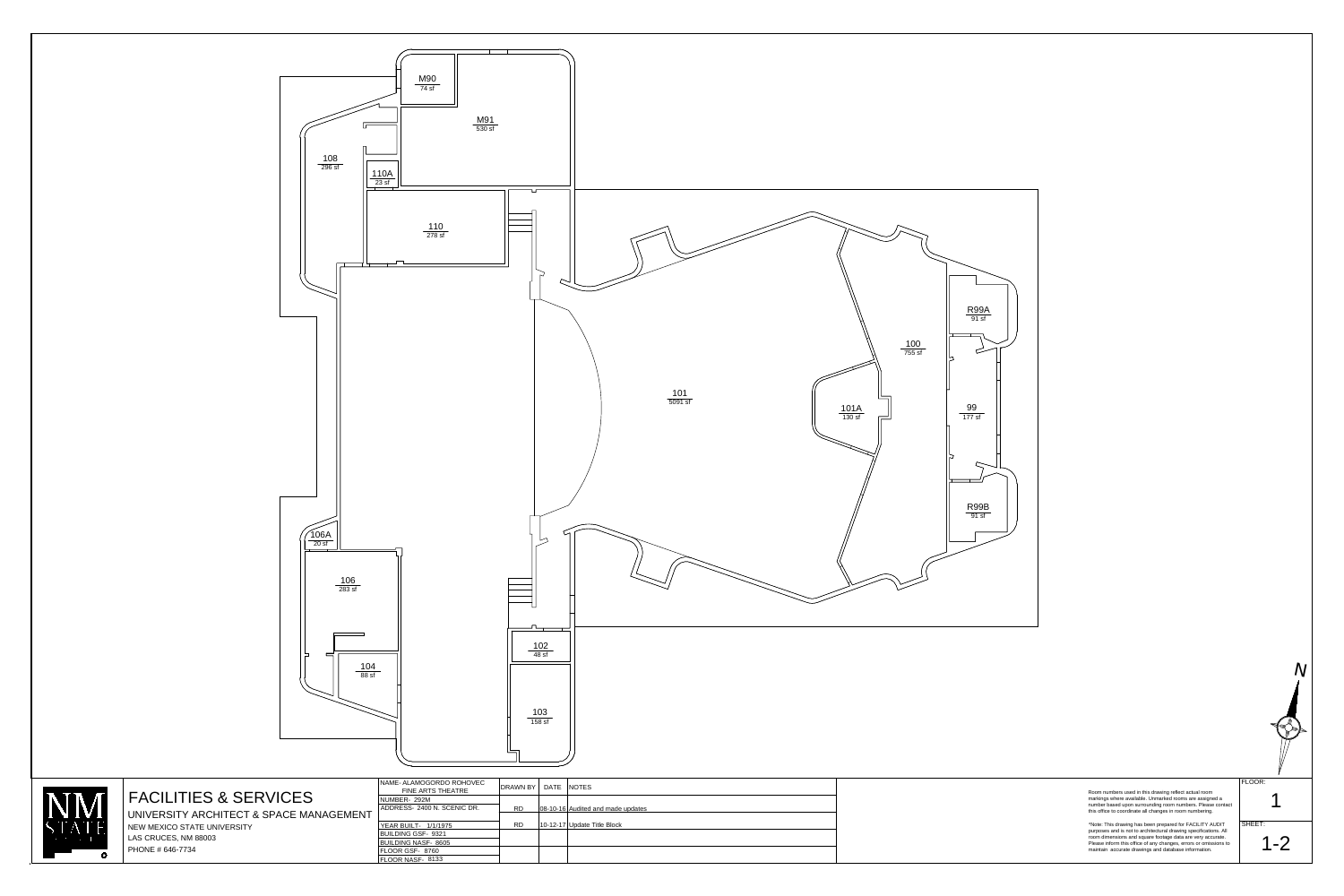

\*Note: This drawing has been prepared for FACILITY AUDIT purposes and is not to architectural drawing specifications. All room dimensions and square footage data are very accurate. Please inform this office of any changes, errors or omissions to maintain accurate drawings and database information.



SHEET: FLOOR: 1 1-2 N

Room numbers used in this drawing reflect actual room markings where available. Unmarked rooms are assigned a number based upon surrounding room numbers. Please contact this office to coordinate all changes in room numbering.

## FACILITIES & SERVICES

NEW MEXICO STATE UNIVERSITY LAS CRUCES, NM 88003 PHONE # 646-7734

FLOOR NASF-8133 FLOOR GSF-8760